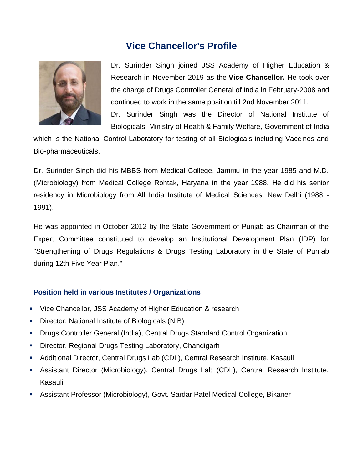# **Vice Chancellor's Profile**



Dr. Surinder Singh joined JSS Academy of Higher Education & Research in November 2019 as the **Vice Chancellor.** He took over the charge of Drugs Controller General of India in February-2008 and continued to work in the same position till 2nd November 2011. Dr. Surinder Singh was the Director of National Institute of Biologicals, Ministry of Health & Family Welfare, Government of India

which is the National Control Laboratory for testing of all Biologicals including Vaccines and Bio-pharmaceuticals.

Dr. Surinder Singh did his MBBS from Medical College, Jammu in the year 1985 and M.D. (Microbiology) from Medical College Rohtak, Haryana in the year 1988. He did his senior residency in Microbiology from All India Institute of Medical Sciences, New Delhi (1988 - 1991).

He was appointed in October 2012 by the State Government of Punjab as Chairman of the Expert Committee constituted to develop an Institutional Development Plan (IDP) for "Strengthening of Drugs Regulations & Drugs Testing Laboratory in the State of Punjab during 12th Five Year Plan."

## **Position held in various Institutes / Organizations**

- Vice Chancellor, JSS Academy of Higher Education & research
- Director, National Institute of Biologicals (NIB)
- Drugs Controller General (India), Central Drugs Standard Control Organization
- Director, Regional Drugs Testing Laboratory, Chandigarh
- Additional Director, Central Drugs Lab (CDL), Central Research Institute, Kasauli
- Assistant Director (Microbiology), Central Drugs Lab (CDL), Central Research Institute, Kasauli
- Assistant Professor (Microbiology), Govt. Sardar Patel Medical College, Bikaner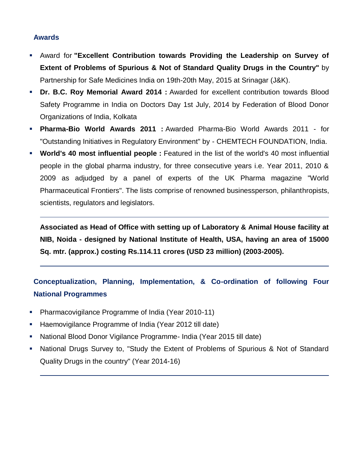#### **Awards**

- Award for **"Excellent Contribution towards Providing the Leadership on Survey of Extent of Problems of Spurious & Not of Standard Quality Drugs in the Country"** by Partnership for Safe Medicines India on 19th-20th May, 2015 at Srinagar (J&K).
- **Dr. B.C. Roy Memorial Award 2014 :** Awarded for excellent contribution towards Blood Safety Programme in India on Doctors Day 1st July, 2014 by Federation of Blood Donor Organizations of India, Kolkata
- **Pharma-Bio World Awards 2011 :** Awarded Pharma-Bio World Awards 2011 for "Outstanding Initiatives in Regulatory Environment" by - CHEMTECH FOUNDATION, India.
- **World's 40 most influential people :** Featured in the list of the world's 40 most influential people in the global pharma industry, for three consecutive years i.e. Year 2011, 2010 & 2009 as adjudged by a panel of experts of the UK Pharma magazine "World Pharmaceutical Frontiers". The lists comprise of renowned businessperson, philanthropists, scientists, regulators and legislators.

**Associated as Head of Office with setting up of Laboratory & Animal House facility at NIB, Noida - designed by National Institute of Health, USA, having an area of 15000 Sq. mtr. (approx.) costing Rs.114.11 crores (USD 23 million) (2003-2005).**

# **Conceptualization, Planning, Implementation, & Co-ordination of following Four National Programmes**

- Pharmacovigilance Programme of India (Year 2010-11)
- **Haemovigilance Programme of India (Year 2012 till date)**
- National Blood Donor Vigilance Programme- India (Year 2015 till date)
- National Drugs Survey to, "Study the Extent of Problems of Spurious & Not of Standard Quality Drugs in the country" (Year 2014-16)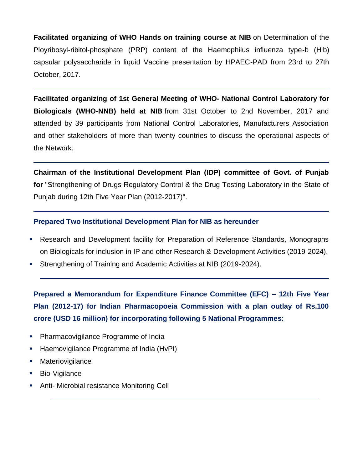**Facilitated organizing of WHO Hands on training course at NIB** on Determination of the Ployribosyl-ribitol-phosphate (PRP) content of the Haemophilus influenza type-b (Hib) capsular polysaccharide in liquid Vaccine presentation by HPAEC-PAD from 23rd to 27th October, 2017.

**Facilitated organizing of 1st General Meeting of WHO- National Control Laboratory for Biologicals (WHO-NNB) held at NIB** from 31st October to 2nd November, 2017 and attended by 39 participants from National Control Laboratories, Manufacturers Association and other stakeholders of more than twenty countries to discuss the operational aspects of the Network.

**Chairman of the Institutional Development Plan (IDP) committee of Govt. of Punjab for** "Strengthening of Drugs Regulatory Control & the Drug Testing Laboratory in the State of Punjab during 12th Five Year Plan (2012-2017)".

### **Prepared Two Institutional Development Plan for NIB as hereunder**

- Research and Development facility for Preparation of Reference Standards, Monographs on Biologicals for inclusion in IP and other Research & Development Activities (2019-2024).
- Strengthening of Training and Academic Activities at NIB (2019-2024).

**Prepared a Memorandum for Expenditure Finance Committee (EFC) – 12th Five Year Plan (2012-17) for Indian Pharmacopoeia Commission with a plan outlay of Rs.100 crore (USD 16 million) for incorporating following 5 National Programmes:**

- Pharmacovigilance Programme of India
- Haemovigilance Programme of India (HvPI)
- Materiovigilance
- Bio-Vigilance
- Anti- Microbial resistance Monitoring Cell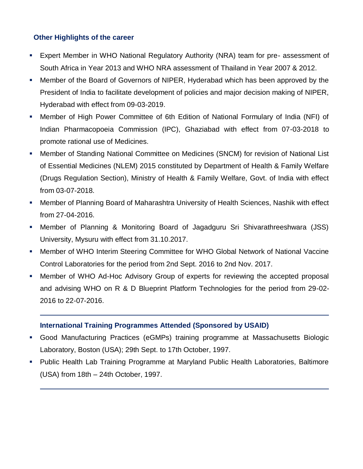### **Other Highlights of the career**

- Expert Member in WHO National Regulatory Authority (NRA) team for pre- assessment of South Africa in Year 2013 and WHO NRA assessment of Thailand in Year 2007 & 2012.
- Member of the Board of Governors of NIPER, Hyderabad which has been approved by the President of India to facilitate development of policies and major decision making of NIPER, Hyderabad with effect from 09-03-2019.
- Member of High Power Committee of 6th Edition of National Formulary of India (NFI) of Indian Pharmacopoeia Commission (IPC), Ghaziabad with effect from 07-03-2018 to promote rational use of Medicines.
- Member of Standing National Committee on Medicines (SNCM) for revision of National List of Essential Medicines (NLEM) 2015 constituted by Department of Health & Family Welfare (Drugs Regulation Section), Ministry of Health & Family Welfare, Govt. of India with effect from 03-07-2018.
- Member of Planning Board of Maharashtra University of Health Sciences, Nashik with effect from 27-04-2016.
- Member of Planning & Monitoring Board of Jagadguru Sri Shivarathreeshwara (JSS) University, Mysuru with effect from 31.10.2017.
- Member of WHO Interim Steering Committee for WHO Global Network of National Vaccine Control Laboratories for the period from 2nd Sept. 2016 to 2nd Nov. 2017.
- Member of WHO Ad-Hoc Advisory Group of experts for reviewing the accepted proposal and advising WHO on R & D Blueprint Platform Technologies for the period from 29-02- 2016 to 22-07-2016.

## **International Training Programmes Attended (Sponsored by USAID)**

- Good Manufacturing Practices (eGMPs) training programme at Massachusetts Biologic Laboratory, Boston (USA); 29th Sept. to 17th October, 1997.
- Public Health Lab Training Programme at Maryland Public Health Laboratories, Baltimore (USA) from 18th – 24th October, 1997.